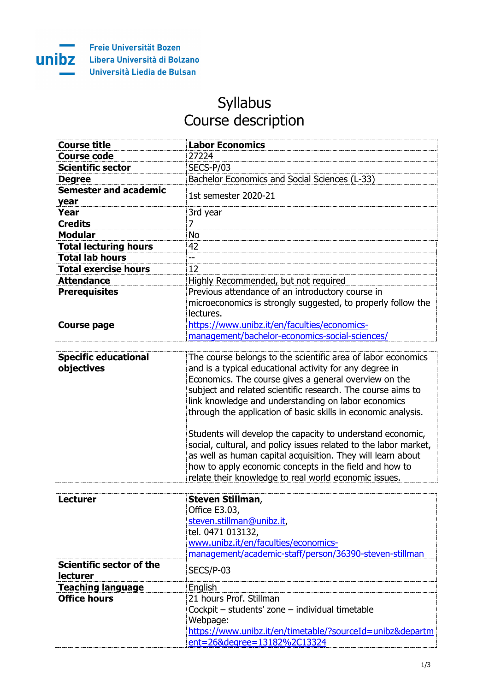

## Syllabus Course description

| <b>Course title</b>                  | <b>Labor Economics</b>                                                                                                        |
|--------------------------------------|-------------------------------------------------------------------------------------------------------------------------------|
| <b>Course code</b>                   | 27224                                                                                                                         |
| <b>Scientific sector</b>             | SECS-P/03                                                                                                                     |
| <b>Degree</b>                        | Bachelor Economics and Social Sciences (L-33)                                                                                 |
| <b>Semester and academic</b><br>year | 1st semester 2020-21                                                                                                          |
| Year                                 | 3rd year                                                                                                                      |
| <b>Credits</b>                       |                                                                                                                               |
| <b>Modular</b>                       | No                                                                                                                            |
| <b>Total lecturing hours</b>         | 42                                                                                                                            |
| <b>Total lab hours</b>               |                                                                                                                               |
| <b>Total exercise hours</b>          | 12                                                                                                                            |
| <b>Attendance</b>                    | Highly Recommended, but not required                                                                                          |
| <b>Prerequisites</b>                 | Previous attendance of an introductory course in<br>microeconomics is strongly suggested, to properly follow the<br>lectures. |
| <b>Course page</b>                   | https://www.unibz.it/en/faculties/economics-<br>management/bachelor-economics-social-sciences/                                |

| <b>Specific educational</b><br>objectives | The course belongs to the scientific area of labor economics<br>and is a typical educational activity for any degree in<br>Economics. The course gives a general overview on the<br>subject and related scientific research. The course aims to<br>link knowledge and understanding on labor economics<br>through the application of basic skills in economic analysis. |
|-------------------------------------------|-------------------------------------------------------------------------------------------------------------------------------------------------------------------------------------------------------------------------------------------------------------------------------------------------------------------------------------------------------------------------|
|                                           | Students will develop the capacity to understand economic,<br>social, cultural, and policy issues related to the labor market,<br>as well as human capital acquisition. They will learn about<br>how to apply economic concepts in the field and how to<br>relate their knowledge to real world economic issues.                                                        |

| Lecturer                             | <b>Steven Stillman,</b>                                   |
|--------------------------------------|-----------------------------------------------------------|
|                                      | Office E3.03,                                             |
|                                      | steven.stillman@unibz.it,                                 |
|                                      | tel. 0471 013132,                                         |
|                                      | www.unibz.it/en/faculties/economics-                      |
|                                      | management/academic-staff/person/36390-steven-stillman    |
| Scientific sector of the<br>lecturer | SECS/P-03                                                 |
| <b>Teaching language</b>             | English                                                   |
| <b>Office hours</b>                  | 21 hours Prof. Stillman                                   |
|                                      | Cockpit - students' zone - individual timetable           |
|                                      | Webpage:                                                  |
|                                      | https://www.unibz.it/en/timetable/?sourceId=unibz&departm |
|                                      | ent=26&degree=13182%2C13324                               |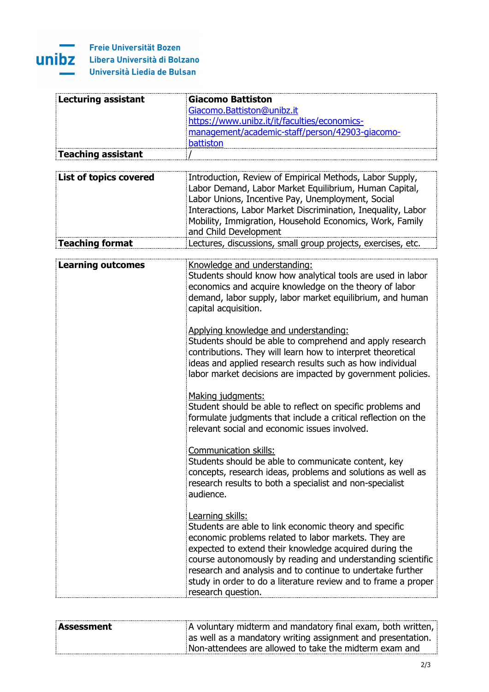

## **Freie Universität Bozen UNIDZ** Libera Università di Bolzano Università Liedia de Bulsan

<u>- Tron</u>

| Lecturing assistant           | Giacomo Battiston                                              |
|-------------------------------|----------------------------------------------------------------|
|                               | Giacomo.Battiston@unibz.it                                     |
|                               | https://www.unibz.it/it/faculties/economics-                   |
|                               | management/academic-staff/person/42903-giacomo-                |
|                               | battiston                                                      |
| <b>Teaching assistant</b>     |                                                                |
|                               |                                                                |
|                               |                                                                |
| <b>List of topics covered</b> | Introduction, Review of Empirical Methods, Labor Supply,       |
|                               | Labor Demand, Labor Market Equilibrium, Human Capital,         |
|                               | Labor Unions, Incentive Pay, Unemployment, Social              |
|                               | Interactions, Labor Market Discrimination, Inequality, Labor   |
|                               | Mobility, Immigration, Household Economics, Work, Family       |
|                               | and Child Development                                          |
| <b>Teaching format</b>        | Lectures, discussions, small group projects, exercises, etc.   |
|                               |                                                                |
| <b>Learning outcomes</b>      | Knowledge and understanding:                                   |
|                               | Students should know how analytical tools are used in labor    |
|                               | economics and acquire knowledge on the theory of labor         |
|                               | demand, labor supply, labor market equilibrium, and human      |
|                               |                                                                |
|                               | capital acquisition.                                           |
|                               |                                                                |
|                               | Applying knowledge and understanding:                          |
|                               | Students should be able to comprehend and apply research       |
|                               | contributions. They will learn how to interpret theoretical    |
|                               | ideas and applied research results such as how individual      |
|                               | labor market decisions are impacted by government policies.    |
|                               |                                                                |
|                               | Making judgments:                                              |
|                               | Student should be able to reflect on specific problems and     |
|                               | formulate judgments that include a critical reflection on the  |
|                               | relevant social and economic issues involved.                  |
|                               |                                                                |
|                               | Communication skills:                                          |
|                               | Students should be able to communicate content, key            |
|                               |                                                                |
|                               | concepts, research ideas, problems and solutions as well as    |
|                               | research results to both a specialist and non-specialist       |
|                               | audience.                                                      |
|                               |                                                                |
|                               | Learning skills:                                               |
|                               | Students are able to link economic theory and specific         |
|                               | economic problems related to labor markets. They are           |
|                               | expected to extend their knowledge acquired during the         |
|                               | course autonomously by reading and understanding scientific    |
|                               | research and analysis and to continue to undertake further     |
|                               | study in order to do a literature review and to frame a proper |
|                               |                                                                |
|                               | research question.                                             |

| Assessment | A voluntary midterm and mandatory final exam, both written, |
|------------|-------------------------------------------------------------|
|            | as well as a mandatory writing assignment and presentation. |
|            | Non-attendees are allowed to take the midterm exam and      |